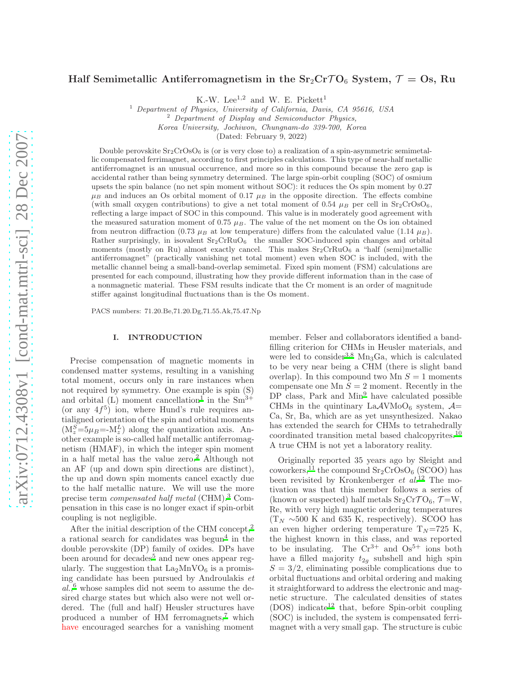# Half Semimetallic Antiferromagnetism in the  $Sr_2CrTO_6$  System,  $\mathcal{T} = Os$ , Ru

K.-W. Lee<sup>1,2</sup> and W. E. Pickett<sup>1</sup>

<sup>1</sup> Department of Physics, University of California, Davis, CA 95616, USA

 $2$  Department of Display and Semiconductor Physics,

Korea University, Jochiwon, Chungnam-do 339-700, Korea

(Dated: February 9, 2022)

Double perovskite  $Sr_2CrOsO_6$  is (or is very close to) a realization of a spin-asymmetric semimetallic compensated ferrimagnet, according to first principles calculations. This type of near-half metallic antiferromagnet is an unusual occurrence, and more so in this compound because the zero gap is accidental rather than being symmetry determined. The large spin-orbit coupling (SOC) of osmium upsets the spin balance (no net spin moment without SOC): it reduces the Os spin moment by 0.27  $\mu_B$  and induces an Os orbital moment of 0.17  $\mu_B$  in the opposite direction. The effects combine (with small oxygen contributions) to give a net total moment of 0.54  $\mu$ B per cell in Sr<sub>2</sub>CrOsO<sub>6</sub>, reflecting a large impact of SOC in this compound. This value is in moderately good agreement with the measured saturation moment of 0.75  $\mu_B$ . The value of the net moment on the Os ion obtained from neutron diffraction (0.73  $\mu$ B at low temperature) differs from the calculated value (1.14  $\mu$ B). Rather surprisingly, in isovalent  $Sr_2CrRuO<sub>6</sub>$  the smaller SOC-induced spin changes and orbital moments (mostly on Ru) almost exactly cancel. This makes  $Sr_2CrRuO_6$  a "half (semi)metallic antiferromagnet" (practically vanishing net total moment) even when SOC is included, with the metallic channel being a small-band-overlap semimetal. Fixed spin moment (FSM) calculations are presented for each compound, illustrating how they provide different information than in the case of a nonmagnetic material. These FSM results indicate that the Cr moment is an order of magnitude stiffer against longitudinal fluctuations than is the Os moment.

PACS numbers: 71.20.Be,71.20.Dg,71.55.Ak,75.47.Np

### I. INTRODUCTION

Precise compensation of magnetic moments in condensed matter systems, resulting in a vanishing total moment, occurs only in rare instances when not required by symmetry. One example is spin (S) and orbital (L) moment cancellation<sup>[1](#page-5-0)</sup> in the  $Sm^{3+}$ (or any  $4f^5$ ) ion, where Hund's rule requires antialigned orientation of the spin and orbital moments  $(M_z^S=5\mu_B= -M_z^L)$  along the quantization axis. Another example is so-called half metallic antiferromagnetism (HMAF), in which the integer spin moment in a half metal has the value zero.[2](#page-5-1) Although not an AF (up and down spin directions are distinct), the up and down spin moments cancel exactly due to the half metallic nature. We will use the more precise term compensated half metal (CHM)[.](#page-5-2)<sup>3</sup> Compensation in this case is no longer exact if spin-orbit coupling is not negligible.

After the initial description of the CHM concept,[2](#page-5-1) a rational search for candidates was begun<sup>[4](#page-5-3)</sup> in the double perovskite (DP) family of oxides. DPs have been around for decades<sup>[5](#page-5-4)</sup> and new ones appear regularly. The suggestion that  $La_2MnVO_6$  is a promising candidate has been pursued by Androulakis et  $al.,<sup>6</sup>$  $al.,<sup>6</sup>$  $al.,<sup>6</sup>$  whose samples did not seem to assume the desired charge states but which also were not well ordered. The (full and half) Heusler structures have produced a number of HM ferromagnets,[7](#page-5-6) which have encouraged searches for a vanishing moment member. Felser and collaborators identified a bandfilling criterion for CHMs in Heusler materials, and we[r](#page-5-2)e led to consider<sup>3[,8](#page-5-7)</sup> Mn<sub>3</sub>Ga, which is calculated to be very near being a CHM (there is slight band overlap). In this compound two Mn  $S = 1$  moments compensate one Mn  $S = 2$  moment. Recently in the  $DP$  class, Park and  $Min<sup>9</sup>$  $Min<sup>9</sup>$  $Min<sup>9</sup>$  have calculated possible CHMs in the quintinary La $\mathcal{A}$ VMoO<sub>6</sub> system,  $\mathcal{A}$ = Ca, Sr, Ba, which are as yet unsynthesized. Nakao has extended the search for CHMs to tetrahedrally coordinated transition metal based chalcopyrites.[10](#page-5-9) A true CHM is not yet a laboratory reality.

Originally reported 35 years ago by Sleight and coworkers,<sup>[11](#page-5-10)</sup> the compound  $Sr_2CrOsO<sub>6</sub>$  (SCOO) has been revisited by Kronkenberger et  $al$ .<sup>[12](#page-5-11)</sup> The motivation was that this member follows a series of (known or suspected) half metals  $Sr_2CrTO_6$ ,  $\mathcal{T} = W$ , Re, with very high magnetic ordering temperatures  $(T_N \sim 500 \text{ K and } 635 \text{ K, respectively)}$ . SCOO has an even higher ordering temperature  $T_N = 725$  K, the highest known in this class, and was reported to be insulating. The  $Cr^{3+}$  and  $Os^{5+}$  ions both have a filled majority  $t_{2g}$  subshell and high spin  $S = 3/2$ , eliminating possible complications due to orbital fluctuations and orbital ordering and making it straightforward to address the electronic and magnetic structure. The calculated densities of states  $(DOS)$  indicate<sup>[12](#page-5-11)</sup> that, before Spin-orbit coupling (SOC) is included, the system is compensated ferrimagnet with a very small gap. The structure is cubic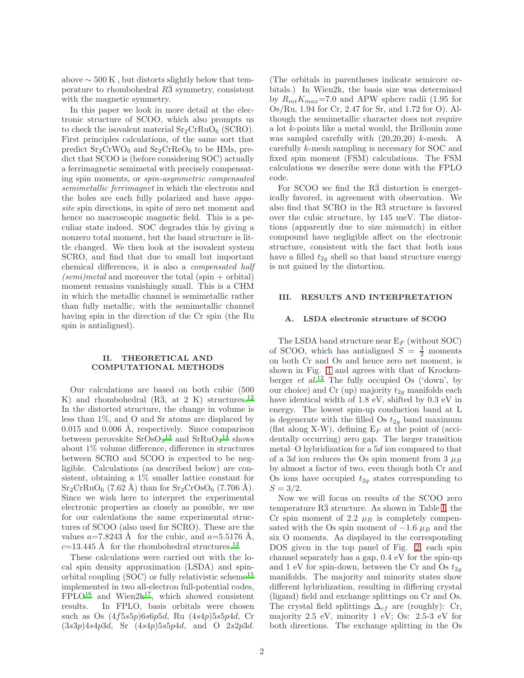above  $\sim 500 \text{ K}$ , but distorts slightly below that temperature to rhombohedral  $R\bar{3}$  symmetry, consistent with the magnetic symmetry.

In this paper we look in more detail at the electronic structure of SCOO, which also prompts us to check the isovalent material  $Sr_2CrRuO_6$  (SCRO). First principles calculations, of the same sort that predict  $Sr_2CrWO_6$  and  $Sr_2CrReO_6$  to be HMs, predict that SCOO is (before considering SOC) actually a ferrimagnetic semimetal with precisely compensating spin moments, or spin-asymmetric compensated semimetallic ferrimagnet in which the electrons and the holes are each fully polarized and have opposite spin directions, in spite of zero net moment and hence no macroscopic magnetic field. This is a peculiar state indeed. SOC degrades this by giving a nonzero total moment, but the band structure is little changed. We then look at the isovalent system SCRO, and find that due to small but important chemical differences, it is also a compensated half  $(semi) metal$  and moreover the total (spin + orbital) moment remains vanishingly small. This is a CHM in which the metallic channel is semimetallic rather than fully metallic, with the semimetallic channel having spin in the direction of the Cr spin (the Ru spin is antialigned).

# II. THEORETICAL AND COMPUTATIONAL METHODS

Our calculations are based on both cubic (500 K) and rhombohedral  $(R\bar{3}, \text{ at } 2 \text{ K})$  structures.<sup>[12](#page-5-11)</sup> In the distorted structure, the change in volume is less than 1%, and O and Sr atoms are displaced by  $0.015$  and  $0.006$  Å, respectively. Since comparison between perovskite  $SrOsO<sub>3</sub><sup>13</sup>$  $SrOsO<sub>3</sub><sup>13</sup>$  $SrOsO<sub>3</sub><sup>13</sup>$  and  $SrRuO<sub>3</sub><sup>14</sup>$  $SrRuO<sub>3</sub><sup>14</sup>$  $SrRuO<sub>3</sub><sup>14</sup>$  shows about 1% volume difference, difference in structures between SCRO and SCOO is expected to be negligible. Calculations (as described below) are consistent, obtaining a 1% smaller lattice constant for  $Sr_2CrRuO_6$  (7.62 Å) than for  $Sr_2CrOsO_6$  (7.706 Å). Since we wish here to interpret the experimental electronic properties as closely as possible, we use for our calculations the same experimental structures of SCOO (also used for SCRO). These are the values  $a=7.8243$  Å for the cubic, and  $a=5.5176$  Å,  $c=13.445$  Å for the rhombohedral structures.<sup>[12](#page-5-11)</sup>

These calculations were carried out with the local spin density approximation (LSDA) and spinorbital coupling  $(SOC)$  or fully relativistic scheme<sup>[15](#page-5-14)</sup> implemented in two all-electron full-potential codes,  $FPLO<sup>16</sup>$  $FPLO<sup>16</sup>$  $FPLO<sup>16</sup>$  and Wien2k<sup>[17](#page-5-16)</sup>, which showed consistent results. In FPLO, basis orbitals were chosen such as Os (4f5s5p)6s6p5d, Ru (4s4p)5s5p4d, Cr  $(3s3p)4s4p3d$ , Sr  $(4s4p)5s5p4d$ , and O 2s2p3d.

(The orbitals in parentheses indicate semicore orbitals.) In Wien2k, the basis size was determined by  $R_{mt}K_{max}$ =7.0 and APW sphere radii (1.95 for Os/Ru, 1.94 for Cr, 2.47 for Sr, and 1.72 for O). Although the semimetallic character does not require a lot k-points like a metal would, the Brillouin zone was sampled carefully with (20,20,20) k-mesh. A carefully k-mesh sampling is necessary for SOC and fixed spin moment (FSM) calculations. The FSM calculations we describe were done with the FPLO code.

For SCOO we find the  $R\bar{3}$  distortion is energetically favored, in agreement with observation. We also find that  $SCRO$  in the  $R\bar{3}$  structure is favored over the cubic structure, by 145 meV. The distortions (apparently due to size mismatch) in either compound have negligible affect on the electronic structure, consistent with the fact that both ions have a filled  $t_{2g}$  shell so that band structure energy is not gained by the distortion.

### III. RESULTS AND INTERPRETATION

# A. LSDA electronic structure of SCOO

The LSDA band structure near  $E_F$  (without SOC) of SCOO, which has antialigned  $S = \frac{3}{2}$  moments on both Cr and Os and hence zero net moment, is shown in Fig. [1](#page-2-0) and agrees with that of Krockenberger *et al.*<sup>[12](#page-5-11)</sup> The fully occupied Os ('down', by our choice) and Cr (up) majority  $t_{2g}$  manifolds each have identical width of 1.8 eV, shifted by 0.3 eV in energy. The lowest spin-up conduction band at L is degenerate with the filled Os  $t_{2g}$  band maximum (flat along X-W), defining  $E_F$  at the point of (accidentally occurring) zero gap. The larger transition metal–O hybridization for a 5d ion compared to that of a 3d ion reduces the Os spin moment from 3  $\mu_B$ by almost a factor of two, even though both Cr and Os ions have occupied  $t_{2g}$  states corresponding to  $S = 3/2.$ 

Now we will focus on results of the SCOO zero temperature  $R\bar{3}$  structure. As shown in Table [I,](#page-2-1) the Cr spin moment of 2.2  $\mu_B$  is completely compensated with the Os spin moment of  $-1.6 \mu_B$  and the six O moments. As displayed in the corresponding DOS given in the top panel of Fig. [2,](#page-3-0) each spin channel separately has a gap, 0.4 eV for the spin-up and 1 eV for spin-down, between the Cr and Os  $t_{2g}$ manifolds. The majority and minority states show different hybridization, resulting in differing crystal (ligand) field and exchange splittings on Cr and Os. The crystal field splittings  $\Delta_{cf}$  are (roughly): Cr, majority 2.5 eV, minority 1 eV; Os: 2.5-3 eV for both directions. The exchange splitting in the Os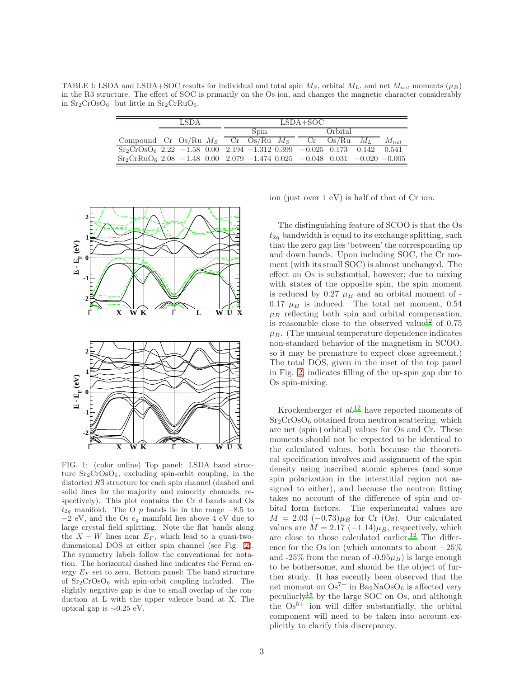TABLE I: LSDA and LSDA+SOC results for individual and total spin  $M<sub>S</sub>$ , orbital  $M<sub>L</sub>$ , and net  $M<sub>net</sub>$  moments ( $\mu<sub>B</sub>$ ) in the  $R\bar{3}$  structure. The effect of SOC is primarily on the Os ion, and changes the magnetic character considerably in  $Sr_2CrOsO_6$  but little in  $Sr_2CrRuO_6$ .

<span id="page-2-1"></span>

|                                                                             | LSDA |  |  | $LSDA+SOC$ |  |  |         |  |  |           |
|-----------------------------------------------------------------------------|------|--|--|------------|--|--|---------|--|--|-----------|
|                                                                             |      |  |  | Spin       |  |  | Orbital |  |  |           |
| Compound Cr Os/Ru $M_S$ Cr Os/Ru $M_S$ Cr Os/Ru $M_L$                       |      |  |  |            |  |  |         |  |  | $M_{net}$ |
| $Sr_2CrOSO_6$ 2.22 -1.58 0.00 2.194 -1.312 0.399 -0.025 0.173 0.142 0.541   |      |  |  |            |  |  |         |  |  |           |
| $Sr_2CrRuO_6$ 2.08 -1.48 0.00 2.079 -1.474 0.025 -0.048 0.031 -0.020 -0.005 |      |  |  |            |  |  |         |  |  |           |



<span id="page-2-0"></span>FIG. 1: (color online) Top panel: LSDA band structure  $Sr_2CrOsO<sub>6</sub>$ , excluding spin-orbit coupling, in the distorted R3 structure for each spin channel (dashed and solid lines for the majority and minority channels, respectively). This plot contains the Cr d bands and Os  $t_{2g}$  manifold. The O p bands lie in the range  $-8.5$  to  $-2$  eV, and the Os  $e_g$  manifold lies above 4 eV due to large crystal field splitting. Note the flat bands along the  $X - W$  lines near  $E_F$ , which lead to a quasi-twodimensional DOS at either spin channel (see Fig. [2\)](#page-3-0). The symmetry labels follow the conventional fcc notation. The horizontal dashed line indicates the Fermi energy  $E_F$  set to zero. Bottom panel: The band structure of Sr2CrOsO<sup>6</sup> with spin-orbit coupling included. The slightly negative gap is due to small overlap of the conduction at L with the upper valence band at X. The optical gap is  $\sim 0.25$  eV.

ion (just over 1 eV) is half of that of Cr ion.

The distinguishing feature of SCOO is that the Os  $t_{2g}$  bandwidth is equal to its exchange splitting, such that the zero gap lies 'between' the corresponding up and down bands. Upon including SOC, the Cr moment (with its small SOC) is almost unchanged. The effect on Os is substantial, however; due to mixing with states of the opposite spin, the spin moment is reduced by  $0.27 \mu_B$  and an orbital moment of -0.17  $\mu_B$  is induced. The total net moment, 0.54  $\mu_B$  reflecting both spin and orbital compensation, is r[e](#page-5-11)asonable close to the observed value<sup>12</sup> of  $0.75$  $\mu_B$ . (The unusual temperature dependence indicates non-standard behavior of the magnetism in SCOO, so it may be premature to expect close agreement.) The total DOS, given in the inset of the top panel in Fig. [2,](#page-3-0) indicates filling of the up-spin gap due to Os spin-mixing.

Krockenberger  $et \ al.<sup>12</sup>$  $et \ al.<sup>12</sup>$  $et \ al.<sup>12</sup>$  have reported moments of  $Sr<sub>2</sub>CrOsO<sub>6</sub> obtained from neutron scattering, which$ are net (spin+orbital) values for Os and Cr. These moments should not be expected to be identical to the calculated values, both because the theoretical specification involves and assignment of the spin density using inscribed atomic spheres (and some spin polarization in the interstitial region not assigned to either), and because the neutron fitting takes no account of the difference of spin and orbital form factors. The experimental values are  $M = 2.03$  (-0.73) $\mu_B$  for Cr (Os). Our calculated values are  $\dot{M} = 2.17 (-1.14) \mu_B$ , respectively, which are close to those calculated earlier.[12](#page-5-11) The difference for the Os ion (which amounts to about  $+25\%$ and -25% from the mean of -0.95 $\mu$ <sub>B</sub>) is large enough to be bothersome, and should be the object of further study. It has recently been observed that the net moment on  $Os^{7+}$  in Ba<sub>2</sub>NaOsO<sub>6</sub> is affected very peculiarly[18](#page-5-17) by the large SOC on Os, and although the  $\mathrm{Os}^{5+}$  ion will differ substantially, the orbital component will need to be taken into account explicitly to clarify this discrepancy.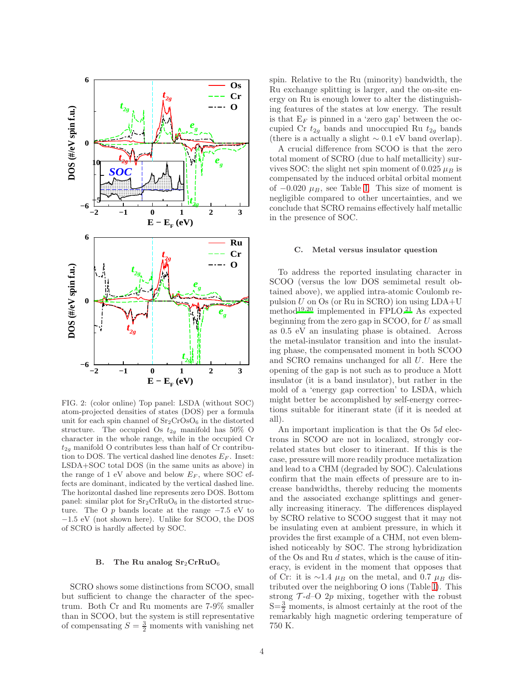

<span id="page-3-0"></span>FIG. 2: (color online) Top panel: LSDA (without SOC) atom-projected densities of states (DOS) per a formula unit for each spin channel of  $Sr_2CrOsO<sub>6</sub>$  in the distorted structure. The occupied Os  $t_{2g}$  manifold has 50% O character in the whole range, while in the occupied Cr  $t_{2q}$  manifold O contributes less than half of Cr contribution to DOS. The vertical dashed line denotes  $E_F$ . Inset: LSDA+SOC total DOS (in the same units as above) in the range of 1 eV above and below  $E_F$ , where SOC effects are dominant, indicated by the vertical dashed line. The horizontal dashed line represents zero DOS. Bottom panel: similar plot for  $Sr_2CrRuO_6$  in the distorted structure. The O  $p$  bands locate at the range  $-7.5$  eV to −1.5 eV (not shown here). Unlike for SCOO, the DOS of SCRO is hardly affected by SOC.

#### B. The Ru analog  $Sr_2CrRuO<sub>6</sub>$

SCRO shows some distinctions from SCOO, small but sufficient to change the character of the spectrum. Both Cr and Ru moments are 7-9% smaller than in SCOO, but the system is still representative of compensating  $S = \frac{3}{2}$  moments with vanishing net spin. Relative to the Ru (minority) bandwidth, the Ru exchange splitting is larger, and the on-site energy on Ru is enough lower to alter the distinguishing features of the states at low energy. The result is that  $E_F$  is pinned in a 'zero gap' between the occupied Cr  $t_{2g}$  bands and unoccupied Ru  $t_{2g}$  bands (there is a actually a slight  $\sim 0.1$  eV band overlap).

A crucial difference from SCOO is that the zero total moment of SCRO (due to half metallicity) survives SOC: the slight net spin moment of 0.025  $\mu_B$  is compensated by the induced orbital orbital moment of  $-0.020 \mu_B$ , see Table [I.](#page-2-1) This size of moment is negligible compared to other uncertainties, and we conclude that SCRO remains effectively half metallic in the presence of SOC.

#### C. Metal versus insulator question

To address the reported insulating character in SCOO (versus the low DOS semimetal result obtained above), we applied intra-atomic Coulomb repulsion U on Os (or Ru in SCRO) ion using LDA+U method<sup>[19](#page-5-18)[,20](#page-5-19)</sup> implemented in  $FPLO.<sup>21</sup>$  $FPLO.<sup>21</sup>$  $FPLO.<sup>21</sup>$  As expected beginning from the zero gap in  $SCOO$ , for  $U$  as small as 0.5 eV an insulating phase is obtained. Across the metal-insulator transition and into the insulating phase, the compensated moment in both SCOO and SCRO remains unchanged for all U. Here the opening of the gap is not such as to produce a Mott insulator (it is a band insulator), but rather in the mold of a 'energy gap correction' to LSDA, which might better be accomplished by self-energy corrections suitable for itinerant state (if it is needed at all).

An important implication is that the Os 5d electrons in SCOO are not in localized, strongly correlated states but closer to itinerant. If this is the case, pressure will more readily produce metalization and lead to a CHM (degraded by SOC). Calculations confirm that the main effects of pressure are to increase bandwidths, thereby reducing the moments and the associated exchange splittings and generally increasing itineracy. The differences displayed by SCRO relative to SCOO suggest that it may not be insulating even at ambient pressure, in which it provides the first example of a CHM, not even blemished noticeably by SOC. The strong hybridization of the Os and Ru d states, which is the cause of itineracy, is evident in the moment that opposes that of Cr: it is ∼1.4  $\mu_B$  on the metal, and 0.7  $\mu_B$  distributed over the neighboring O ions (Table [I\)](#page-2-1). This strong  $\mathcal{T}$ -d–O 2p mixing, together with the robust  $S=\frac{3}{2}$  moments, is almost certainly at the root of the remarkably high magnetic ordering temperature of 750 K.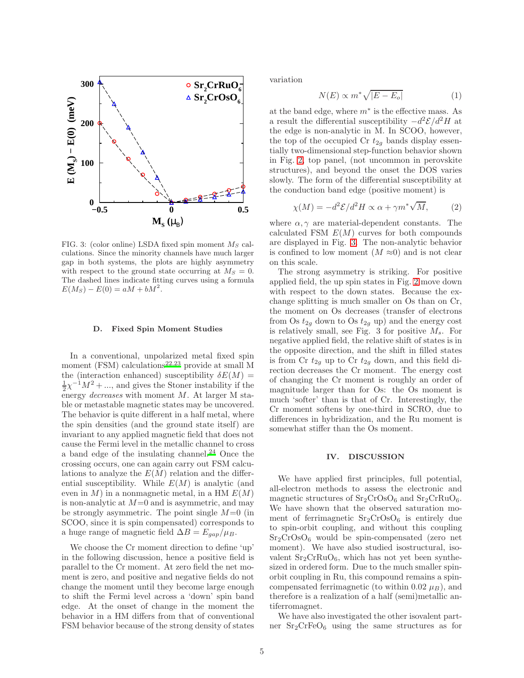

<span id="page-4-0"></span>FIG. 3: (color online) LSDA fixed spin moment  $M_S$  calculations. Since the minority channels have much larger gap in both systems, the plots are highly asymmetry with respect to the ground state occurring at  $M_S = 0$ . The dashed lines indicate fitting curves using a formula  $E(M_S) - E(0) = aM + bM^2.$ 

#### D. Fixed Spin Moment Studies

In a conventional, unpolarized metal fixed spin moment (FSM) calculations<sup>[22](#page-5-21)[,23](#page-5-22)</sup> provide at small M the (interaction enhanced) susceptibility  $\delta E(M)$  =  $\frac{1}{2}\chi^{-1}M^2 + \dots$ , and gives the Stoner instability if the energy decreases with moment M. At larger M stable or metastable magnetic states may be uncovered. The behavior is quite different in a half metal, where the spin densities (and the ground state itself) are invariant to any applied magnetic field that does not cause the Fermi level in the metallic channel to cross a band edge of the insulating channel.[24](#page-5-23) Once the crossing occurs, one can again carry out FSM calculations to analyze the  $E(M)$  relation and the differential susceptibility. While  $E(M)$  is analytic (and even in  $M$ ) in a nonmagnetic metal, in a HM  $E(M)$ is non-analytic at  $M=0$  and is asymmetric, and may be strongly asymmetric. The point single  $M=0$  (in SCOO, since it is spin compensated) corresponds to a huge range of magnetic field  $\Delta B = E_{gap}/\mu_B$ .

We choose the Cr moment direction to define 'up' in the following discussion, hence a positive field is parallel to the Cr moment. At zero field the net moment is zero, and positive and negative fields do not change the moment until they become large enough to shift the Fermi level across a 'down' spin band edge. At the onset of change in the moment the behavior in a HM differs from that of conventional FSM behavior because of the strong density of states variation

$$
N(E) \propto m^* \sqrt{|E - E_o|} \tag{1}
$$

at the band edge, where  $m^*$  is the effective mass. As a result the differential susceptibility  $-d^2 \mathcal{E}/d^2 H$  at the edge is non-analytic in M. In SCOO, however, the top of the occupied Cr  $t_{2g}$  bands display essentially two-dimensional step-function behavior shown in Fig. [2,](#page-3-0) top panel, (not uncommon in perovskite structures), and beyond the onset the DOS varies slowly. The form of the differential susceptibility at the conduction band edge (positive moment) is

$$
\chi(M) = -d^2 \mathcal{E} / d^2 H \propto \alpha + \gamma m^* \sqrt{M},\qquad(2)
$$

where  $\alpha, \gamma$  are material-dependent constants. The calculated FSM  $E(M)$  curves for both compounds are displayed in Fig. [3.](#page-4-0) The non-analytic behavior is confined to low moment  $(M \approx 0)$  and is not clear on this scale.

The strong asymmetry is striking. For positive applied field, the up spin states in Fig. [2](#page-3-0) move down with respect to the down states. Because the exchange splitting is much smaller on Os than on Cr, the moment on Os decreases (transfer of electrons from Os  $t_{2g}$  down to Os  $t_{2g}$  up) and the energy cost is relatively small, see Fig. 3 for positive  $M_s$ . For negative applied field, the relative shift of states is in the opposite direction, and the shift in filled states is from Cr  $t_{2g}$  up to Cr  $t_{2g}$  down, and this field direction decreases the Cr moment. The energy cost of changing the Cr moment is roughly an order of magnitude larger than for Os: the Os moment is much 'softer' than is that of Cr. Interestingly, the Cr moment softens by one-third in SCRO, due to differences in hybridization, and the Ru moment is somewhat stiffer than the Os moment.

## IV. DISCUSSION

We have applied first principles, full potential, all-electron methods to assess the electronic and magnetic structures of  $Sr_2CrOsO_6$  and  $Sr_2CrRuO_6$ . We have shown that the observed saturation moment of ferrimagnetic  $Sr_2CrOsO<sub>6</sub>$  is entirely due to spin-orbit coupling, and without this coupling  $Sr<sub>2</sub>CrOsO<sub>6</sub>$  would be spin-compensated (zero net moment). We have also studied isostructural, isovalent  $Sr_2CrRuO_6$ , which has not yet been synthesized in ordered form. Due to the much smaller spinorbit coupling in Ru, this compound remains a spincompensated ferrimagnetic (to within 0.02  $\mu$ <sub>B</sub>), and therefore is a realization of a half (semi)metallic antiferromagnet.

We have also investigated the other isovalent partner  $Sr_2CrFeO_6$  using the same structures as for